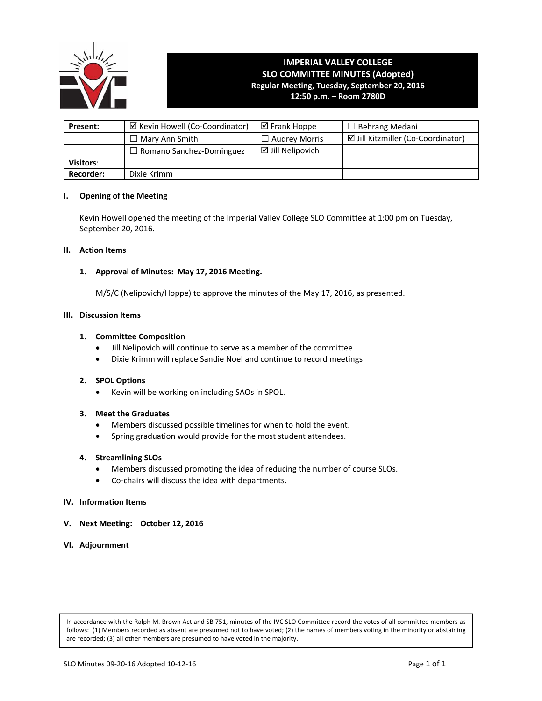

# **IMPERIAL VALLEY COLLEGE SLO COMMITTEE MINUTES (Adopted) Regular Meeting, Tuesday, September 20, 2016 12:50 p.m. – Room 2780D**

**Present:**  $\Box$  Kevin Howell (Co-Coordinator)  $\Box$  Frank Hoppe  $\Box$  Behrang Medani ☐ Mary Ann Smith ☐ Audrey Morris Jill Kitzmiller (Co‐Coordinator) □ Romano Sanchez-Dominguez | Ø Jill Nelipovich **Visitors**: **Recorder:** | Dixie Krimm

## **I. Opening of the Meeting**

Kevin Howell opened the meeting of the Imperial Valley College SLO Committee at 1:00 pm on Tuesday, September 20, 2016.

#### **II. Action Items**

## **1. Approval of Minutes: May 17, 2016 Meeting.**

 M/S/C (Nelipovich/Hoppe) to approve the minutes of the May 17, 2016, as presented.

#### **III. Discussion Items**

## **1. Committee Composition**

- Jill Nelipovich will continue to serve as a member of the committee
- Dixie Krimm will replace Sandie Noel and continue to record meetings

#### **2. SPOL Options**

Kevin will be working on including SAOs in SPOL.

# **3. Meet the Graduates**

- Members discussed possible timelines for when to hold the event.
- Spring graduation would provide for the most student attendees.

#### **4. Streamlining SLOs**

- Members discussed promoting the idea of reducing the number of course SLOs.
- Co-chairs will discuss the idea with departments.

#### **IV. Information Items**

**V. Next Meeting: October 12, 2016**

# **VI. Adjournment**

In accordance with the Ralph M. Brown Act and SB 751, minutes of the IVC SLO Committee record the votes of all committee members as follows: (1) Members recorded as absent are presumed not to have voted; (2) the names of members voting in the minority or abstaining are recorded; (3) all other members are presumed to have voted in the majority.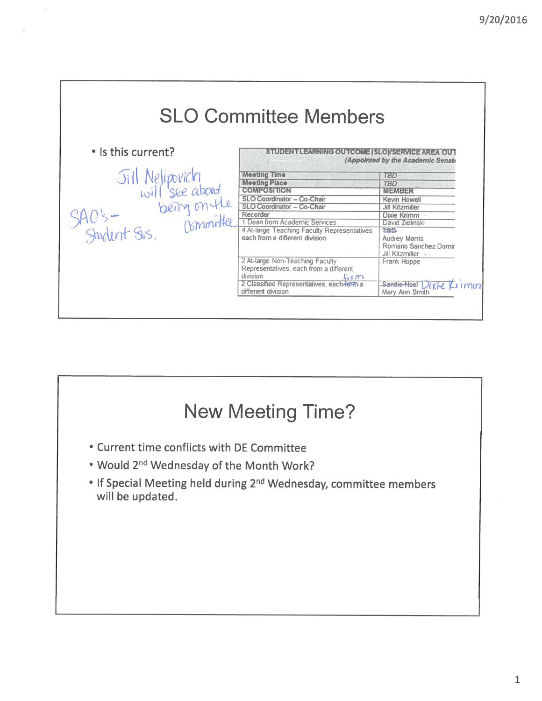|                                                   | <b>SLO Committee Members</b>                 |                                                                                                                                                                                                                                                                                                                                                                                                       |
|---------------------------------------------------|----------------------------------------------|-------------------------------------------------------------------------------------------------------------------------------------------------------------------------------------------------------------------------------------------------------------------------------------------------------------------------------------------------------------------------------------------------------|
| • Is this current?                                | TLEARNING OUTGOME (SLO)/SERVICE AREA OUT     | (Appointed by the Academic Senate                                                                                                                                                                                                                                                                                                                                                                     |
| Jill Nelipovich<br>will see about<br>being on the | <b>Meeting Time</b>                          | <b>TBD</b>                                                                                                                                                                                                                                                                                                                                                                                            |
|                                                   | <b>Meeting Place</b>                         | <b>TBD</b>                                                                                                                                                                                                                                                                                                                                                                                            |
|                                                   | <b>COMPOSITION</b>                           | 171481343                                                                                                                                                                                                                                                                                                                                                                                             |
|                                                   | SLO Coordinator - Co-Chair                   | Kevin Howell                                                                                                                                                                                                                                                                                                                                                                                          |
|                                                   | SLO Coordinator - Co-Chair                   | <b>Jill Kitzmiller</b>                                                                                                                                                                                                                                                                                                                                                                                |
|                                                   | Recorder                                     | Dixie Krimm                                                                                                                                                                                                                                                                                                                                                                                           |
|                                                   | 1 Dean from Academic Services                | David Zielinski                                                                                                                                                                                                                                                                                                                                                                                       |
| 40's-<br>Student Svs.                             | 4 At-large Teaching Faculty Representatives. | TBD-                                                                                                                                                                                                                                                                                                                                                                                                  |
|                                                   | each from a different division               | Audrey Morris                                                                                                                                                                                                                                                                                                                                                                                         |
|                                                   |                                              | Romano Sanchez Domir                                                                                                                                                                                                                                                                                                                                                                                  |
|                                                   |                                              | Jill Kitzmiller                                                                                                                                                                                                                                                                                                                                                                                       |
|                                                   | 2 At-large Non-Teaching Faculty              | Frank Hoppe                                                                                                                                                                                                                                                                                                                                                                                           |
|                                                   | Representatives, each from a different       |                                                                                                                                                                                                                                                                                                                                                                                                       |
|                                                   | division<br>$\mathcal{L}$ on                 |                                                                                                                                                                                                                                                                                                                                                                                                       |
|                                                   | 2 Classified Representatives, each-form a    | Sandie Noel 1<br>$\overline{X}$ $\overline{L}$ $\overline{L}$ $\overline{L}$ $\overline{L}$ $\overline{L}$ $\overline{L}$ $\overline{L}$ $\overline{L}$ $\overline{L}$ $\overline{L}$ $\overline{L}$ $\overline{L}$ $\overline{L}$ $\overline{L}$ $\overline{L}$ $\overline{L}$ $\overline{L}$ $\overline{L}$ $\overline{L}$ $\overline{L}$ $\overline{L}$ $\overline{L}$ $\overline{L}$ $\overline{$ |
|                                                   | different division                           |                                                                                                                                                                                                                                                                                                                                                                                                       |

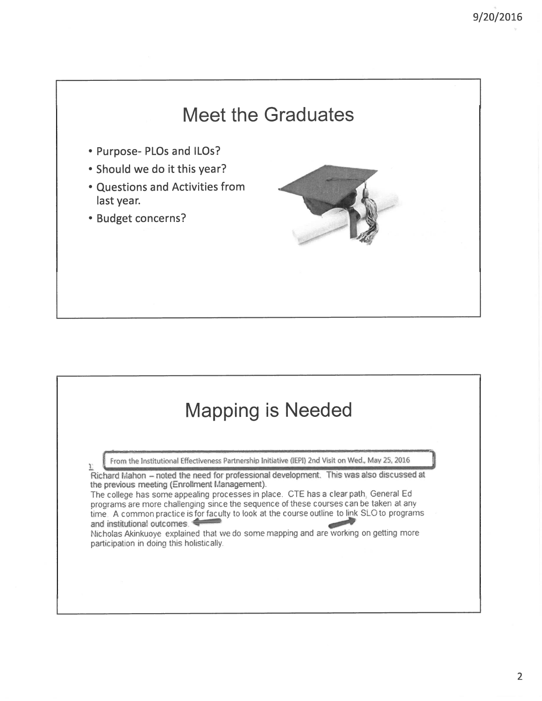# **Meet the Graduates**

- Purpose- PLOs and ILOs?
- Should we do it this year?
- Questions and Activities from last year.
- Budget concerns?



# **Mapping is Needed**

From the Institutional Effectiveness Partnership Initiative (IEPI) 2nd Visit on Wed., May 25, 2016

Richard Mahon - noted the need for professional development. This was also discussed at the previous meeting (Enrollment Management).

The college has some appealing processes in place. CTE has a clear path, General Ed programs are more challenging since the sequence of these courses can be taken at any time. A common practice is for faculty to look at the course outline to link SLO to programs and institutional outcomes.

Nicholas Akinkuoye explained that we do some mapping and are working on getting more participation in doing this holistically.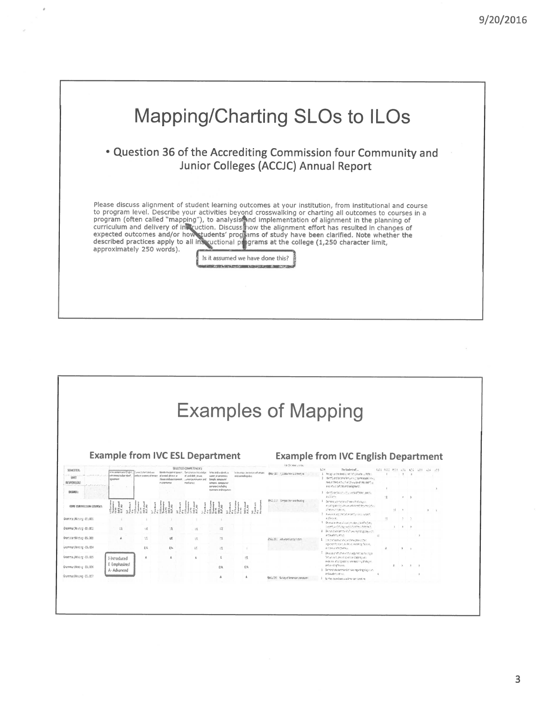

|                            |                                               |                        |                                         |                                                                    |                                                                                               |                                                            | <b>Examples of Mapping</b>               |                                                                                                                                      |          |    |                                           |         |                               |         |
|----------------------------|-----------------------------------------------|------------------------|-----------------------------------------|--------------------------------------------------------------------|-----------------------------------------------------------------------------------------------|------------------------------------------------------------|------------------------------------------|--------------------------------------------------------------------------------------------------------------------------------------|----------|----|-------------------------------------------|---------|-------------------------------|---------|
|                            |                                               |                        |                                         |                                                                    |                                                                                               |                                                            |                                          |                                                                                                                                      |          |    |                                           |         |                               |         |
|                            |                                               |                        |                                         |                                                                    |                                                                                               |                                                            |                                          |                                                                                                                                      |          |    |                                           |         |                               |         |
|                            |                                               |                        |                                         |                                                                    |                                                                                               |                                                            |                                          |                                                                                                                                      |          |    |                                           |         |                               |         |
|                            |                                               |                        |                                         |                                                                    | <b>Example from IVC ESL Department</b>                                                        |                                                            |                                          | <b>Example from IVC English Department</b>                                                                                           |          |    |                                           |         |                               |         |
|                            |                                               |                        |                                         |                                                                    |                                                                                               |                                                            | Transfer lieve course.                   |                                                                                                                                      |          |    |                                           |         |                               |         |
| SEMESTER:<br><b>HMT</b>    | where seemences in English.<br>Audragantsment | Corecty Nets and use   | to world bawels. Hannels create a febre | SELECTED COMMETENCIES:<br>of and shift stress                      | Membrite part of speech. Certicive and incented on The and a standium<br>salet-of sinistices. | Silife angel der detect volkanger.<br>and controlling idea | Blok 201 Science on Literature           | \$04<br>The Student self<br>Recapius the development of distinguish infiction.<br>2 dectris and benone familiar electrome poppe news |          |    | $\rightarrow$ $\rightarrow$ $\rightarrow$ |         | FLOS RIOS ROS NOS NOS NOS NOS |         |
| <b><i>RESPONSIBLE</i></b>  | agreement                                     |                        | in a seminor                            | clause and use a competition state of purchasion, and<br>mechanics | Emple especial<br>smales compound-<br>premier Lindric                                         |                                                            |                                          | re-exactly-business in a surge movement is<br>a variety of cultures and packgrounds.                                                 |          |    |                                           |         |                               |         |
| DEGREE:                    |                                               |                        |                                         |                                                                    | questant and regulars.                                                                        |                                                            |                                          | 3 detricontollatectic cols of fores posts.<br>ziddams                                                                                | 注        |    | $\sim$ $\sim$                             |         |                               |         |
| CORE CURRICULUM COURSES    |                                               |                        |                                         |                                                                    |                                                                                               |                                                            | BNG, 217 Compositors and Reading         | 1.<br>Demonstrate manery of news this trining is a<br>including appropriations and identified processibility.<br>cheave needs.       |          | 38 | $\mathbb{R}$                              |         |                               | $x - x$ |
| Gramma (Massing - ESI 001) |                                               |                        |                                         |                                                                    |                                                                                               |                                                            |                                          | 3. Analysis in and chemistran behind only respect.<br>ardbliver.                                                                     | 36       |    |                                           |         |                               |         |
| Grammat/Wideo - ESI 002    | $\zeta^{\mu}_{\mathcal{R}}$                   | 缝                      | 滏                                       | 近                                                                  | 提                                                                                             |                                                            |                                          | 3. Doelst at easy of macro-sign and effectively<br>creams and stongly supplicant techniques.                                         |          |    | $\mathcal{R}$                             |         |                               |         |
| Gramman/Wither-E5, 003     | A.                                            | $\mathbb{C}\mathbb{C}$ | <b>UE</b>                               | 项                                                                  | 战                                                                                             |                                                            |                                          | 4 denotibizamented desearangulación<br>and academic which                                                                            |          |    |                                           |         |                               |         |
| Grammar/Mrsche - ESL 004   |                                               | 积                      | Èla.                                    | 径                                                                  | 混                                                                                             |                                                            | DVL XI Advanced Uprecident               | 1 International stead magazinetter<br>representations, existent reseming fallows.<br>and guesti affectiveness.                       | $\Delta$ |    | $1 - 1$                                   |         |                               |         |
| Gramma:/Wischg - ES: 005   |                                               | $\Lambda$              | z.                                      | ă.                                                                 | F.                                                                                            | 绕                                                          |                                          | <sup>2</sup> Devillo an effort element apprent consider a<br>finited claim, presting all transfageriginate                           |          |    |                                           |         |                               |         |
|                            | 1-Introduced<br>E-Emphasized                  |                        |                                         |                                                                    |                                                                                               |                                                            |                                          | evolume atting approxime massing protogen<br>and among falloces.                                                                     |          |    |                                           | $x - x$ | $\rightarrow$                 |         |
| Grammar/Wisc=g - ESL006    | A- Advanced                                   |                        |                                         |                                                                    | E/A                                                                                           | ĽA                                                         |                                          | 3. Demonstrate command of náva-og arbing player sin.<br>and academy, at old.                                                         |          |    |                                           |         |                               |         |
| Grammar/Nosting - ESL OC?  |                                               |                        |                                         |                                                                    |                                                                                               |                                                            | Bell, 230 Survey of American Literatures | 1 Synthesize and explosive American Forest, re-                                                                                      |          |    |                                           |         |                               |         |